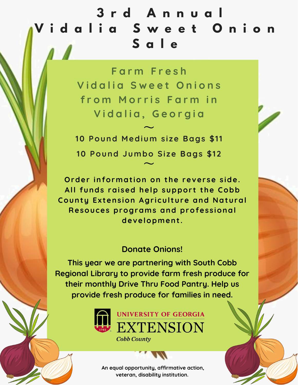## **3 r d A n n u a l V i d a l i a S w e e t O n i o n S a l e**

**F a r m F r e s h V i d a l i a S w e e t O n i o n s f r o m M o r r i s F a r m i n V i d a l i a , G e o r g i a**

**10 Pound Medium s i ze Bags \$11 10 Pound Jumbo Si ze Bags \$12**  $\sim$  $\frac{1}{2}$ 

**Order** information on the reverse side. **All funds rai sed help suppor t the Cobb County Ex tens ion Agr i cul ture and Natural Resouces programs and profes s ional development .**

## **Donate Onions!**

**This year we are partnering with South Cobb Regional Library to provide farm fresh produce for their monthly Drive Thru Food Pantry. Help us provide fresh produce for families in need.**



**Cobb County** 

**An equal opportunity, affirmative action, veteran, disability institution.**